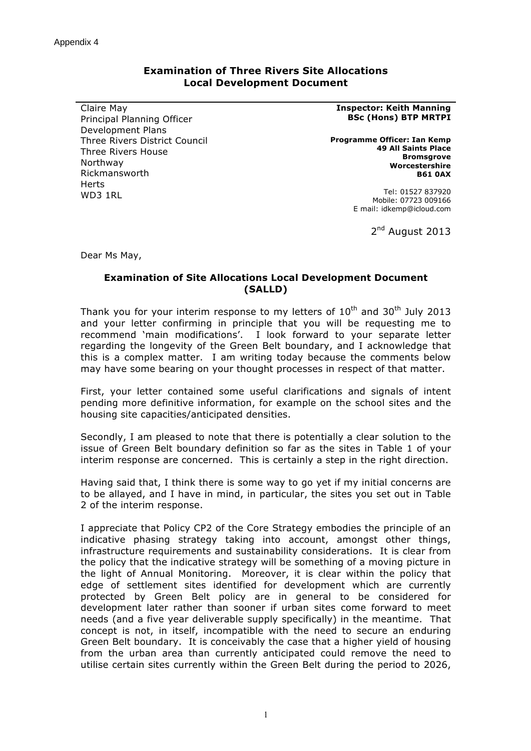## **Examination of Three Rivers Site Allocations Local Development Document**

Claire May Principal Planning Officer Development Plans Three Rivers District Council Three Rivers House Northway Rickmansworth **Harts** WD3 1RL

## **Inspector: Keith Manning BSc (Hons) BTP MRTPI**

**Programme Officer: Ian Kemp 49 All Saints Place Bromsgrove Worcestershire B61 0AX**

> Tel: 01527 837920 Mobile: 07723 009166 E mail: idkemp@icloud.com

> > 2<sup>nd</sup> August 2013

Dear Ms May,

## **Examination of Site Allocations Local Development Document (SALLD)**

Thank you for your interim response to my letters of  $10<sup>th</sup>$  and  $30<sup>th</sup>$  July 2013 and your letter confirming in principle that you will be requesting me to recommend 'main modifications'. I look forward to your separate letter regarding the longevity of the Green Belt boundary, and I acknowledge that this is a complex matter. I am writing today because the comments below may have some bearing on your thought processes in respect of that matter.

First, your letter contained some useful clarifications and signals of intent pending more definitive information, for example on the school sites and the housing site capacities/anticipated densities.

Secondly, I am pleased to note that there is potentially a clear solution to the issue of Green Belt boundary definition so far as the sites in Table 1 of your interim response are concerned. This is certainly a step in the right direction.

Having said that, I think there is some way to go yet if my initial concerns are to be allayed, and I have in mind, in particular, the sites you set out in Table 2 of the interim response.

I appreciate that Policy CP2 of the Core Strategy embodies the principle of an indicative phasing strategy taking into account, amongst other things, infrastructure requirements and sustainability considerations. It is clear from the policy that the indicative strategy will be something of a moving picture in the light of Annual Monitoring. Moreover, it is clear within the policy that edge of settlement sites identified for development which are currently protected by Green Belt policy are in general to be considered for development later rather than sooner if urban sites come forward to meet needs (and a five year deliverable supply specifically) in the meantime. That concept is not, in itself, incompatible with the need to secure an enduring Green Belt boundary. It is conceivably the case that a higher yield of housing from the urban area than currently anticipated could remove the need to utilise certain sites currently within the Green Belt during the period to 2026,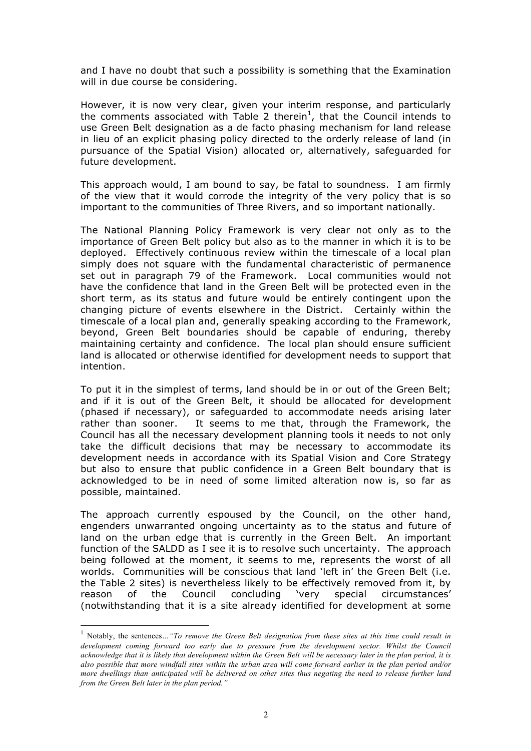and I have no doubt that such a possibility is something that the Examination will in due course be considering.

However, it is now very clear, given your interim response, and particularly the comments associated with Table 2 therein<sup>1</sup>, that the Council intends to use Green Belt designation as a de facto phasing mechanism for land release in lieu of an explicit phasing policy directed to the orderly release of land (in pursuance of the Spatial Vision) allocated or, alternatively, safeguarded for future development.

This approach would, I am bound to say, be fatal to soundness. I am firmly of the view that it would corrode the integrity of the very policy that is so important to the communities of Three Rivers, and so important nationally.

The National Planning Policy Framework is very clear not only as to the importance of Green Belt policy but also as to the manner in which it is to be deployed. Effectively continuous review within the timescale of a local plan simply does not square with the fundamental characteristic of permanence set out in paragraph 79 of the Framework. Local communities would not have the confidence that land in the Green Belt will be protected even in the short term, as its status and future would be entirely contingent upon the changing picture of events elsewhere in the District. Certainly within the timescale of a local plan and, generally speaking according to the Framework, beyond, Green Belt boundaries should be capable of enduring, thereby maintaining certainty and confidence. The local plan should ensure sufficient land is allocated or otherwise identified for development needs to support that intention.

To put it in the simplest of terms, land should be in or out of the Green Belt; and if it is out of the Green Belt, it should be allocated for development (phased if necessary), or safeguarded to accommodate needs arising later rather than sooner. It seems to me that, through the Framework, the Council has all the necessary development planning tools it needs to not only take the difficult decisions that may be necessary to accommodate its development needs in accordance with its Spatial Vision and Core Strategy but also to ensure that public confidence in a Green Belt boundary that is acknowledged to be in need of some limited alteration now is, so far as possible, maintained.

The approach currently espoused by the Council, on the other hand, engenders unwarranted ongoing uncertainty as to the status and future of land on the urban edge that is currently in the Green Belt. An important function of the SALDD as I see it is to resolve such uncertainty. The approach being followed at the moment, it seems to me, represents the worst of all worlds. Communities will be conscious that land 'left in' the Green Belt (i.e. the Table 2 sites) is nevertheless likely to be effectively removed from it, by reason of the Council concluding 'very special circumstances' (notwithstanding that it is a site already identified for development at some

 <sup>1</sup> Notably, the sentences*…"To remove the Green Belt designation from these sites at this time could result in*  development coming forward too early due to pressure from the development sector. Whilst the Council *acknowledge that it is likely that development within the Green Belt will be necessary later in the plan period, it is also possible that more windfall sites within the urban area will come forward earlier in the plan period and/or more dwellings than anticipated will be delivered on other sites thus negating the need to release further land from the Green Belt later in the plan period."*